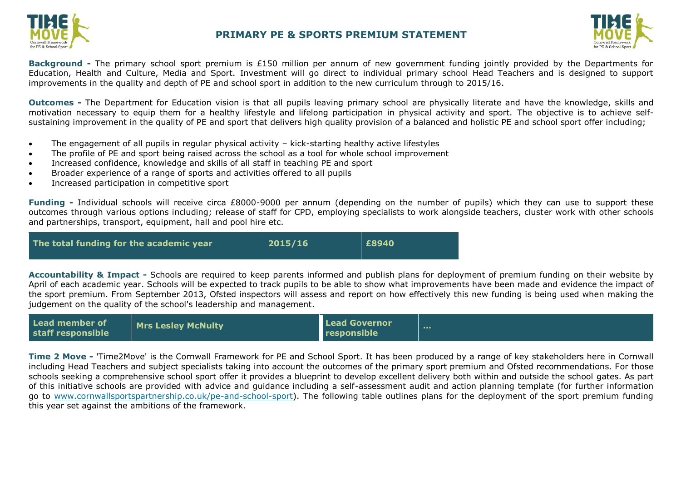



**Background -** The primary school sport premium is £150 million per annum of new government funding jointly provided by the Departments for Education, Health and Culture, Media and Sport. Investment will go direct to individual primary school Head Teachers and is designed to support improvements in the quality and depth of PE and school sport in addition to the new curriculum through to 2015/16.

**Outcomes -** The Department for Education vision is that all pupils leaving primary school are physically literate and have the knowledge, skills and motivation necessary to equip them for a healthy lifestyle and lifelong participation in physical activity and sport. The objective is to achieve selfsustaining improvement in the quality of PE and sport that delivers high quality provision of a balanced and holistic PE and school sport offer including;

- The engagement of all pupils in regular physical activity kick-starting healthy active lifestyles
- The profile of PE and sport being raised across the school as a tool for whole school improvement
- Increased confidence, knowledge and skills of all staff in teaching PE and sport
- Broader experience of a range of sports and activities offered to all pupils
- Increased participation in competitive sport

**Funding -** Individual schools will receive circa £8000-9000 per annum (depending on the number of pupils) which they can use to support these outcomes through various options including; release of staff for CPD, employing specialists to work alongside teachers, cluster work with other schools and partnerships, transport, equipment, hall and pool hire etc.

| The total funding for the academic year | 2015/16 | £8940 |
|-----------------------------------------|---------|-------|
|-----------------------------------------|---------|-------|

**Accountability & Impact -** Schools are required to keep parents informed and publish plans for deployment of premium funding on their website by April of each academic year. Schools will be expected to track pupils to be able to show what improvements have been made and [evidence the impact o](http://www.cornwallsportspartnership.co.uk/)f the sport premium. From September 2013, [Ofsted](http://www.ofsted.gov.uk/inspection-reports/our-expert-knowledge/physical-education) inspectors will assess and report on how effectively this new funding is being used when making the judgement on the quality of the school's leadership and management.

| <b>Lead member of</b><br>staff responsible | <b>Mrs Lesley McNulty</b> | Lead Governor<br><b>Tresponsible</b> |  |
|--------------------------------------------|---------------------------|--------------------------------------|--|
|--------------------------------------------|---------------------------|--------------------------------------|--|

**Time 2 Move -** 'Time2Move' is the Cornwall Framework for PE and School Sport. It has been produced by a range of key stakeholders here in Cornwall including Head Teachers and subject specialists taking into account the outcomes of the primary sport premium and Ofsted recommendations. For those schools seeking a comprehensive school sport offer it provides a blueprint to develop excellent delivery both within and outside the school gates. As part of this initiative schools are provided with advice and guidance including a self-assessment audit and action planning template (for further information go to [www.cornwallsportspartnership.co.uk/pe-and-school-sport\)](http://www.cornwallsportspartnership.co.uk/pe-and-school-sport). The following table outlines plans for the deployment of the sport premium funding this year set against the ambitions of the framework.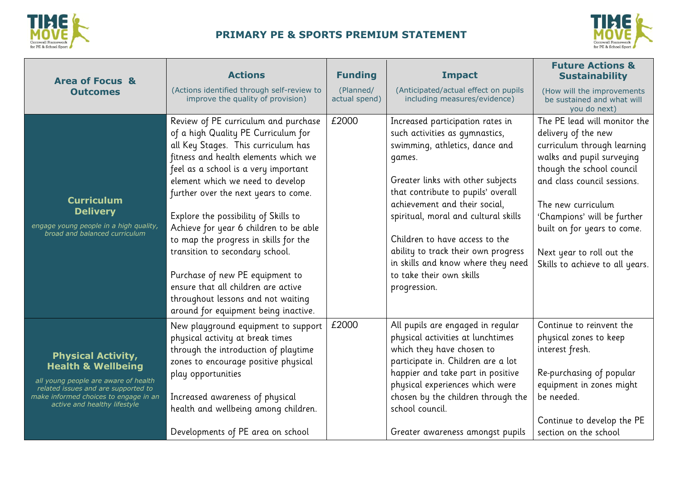



| <b>Area of Focus &amp;</b>                                                                                                                                                                                         | <b>Actions</b>                                                                                                                                                                                                                                                                                                                                                                                                                                                                                                                                                                                       | <b>Funding</b>             | <b>Impact</b>                                                                                                                                                                                                                                                                                                                                                                                                                 | <b>Future Actions &amp;</b><br><b>Sustainability</b>                                                                                                                                                                                                                                                                            |
|--------------------------------------------------------------------------------------------------------------------------------------------------------------------------------------------------------------------|------------------------------------------------------------------------------------------------------------------------------------------------------------------------------------------------------------------------------------------------------------------------------------------------------------------------------------------------------------------------------------------------------------------------------------------------------------------------------------------------------------------------------------------------------------------------------------------------------|----------------------------|-------------------------------------------------------------------------------------------------------------------------------------------------------------------------------------------------------------------------------------------------------------------------------------------------------------------------------------------------------------------------------------------------------------------------------|---------------------------------------------------------------------------------------------------------------------------------------------------------------------------------------------------------------------------------------------------------------------------------------------------------------------------------|
| <b>Outcomes</b>                                                                                                                                                                                                    | (Actions identified through self-review to<br>improve the quality of provision)                                                                                                                                                                                                                                                                                                                                                                                                                                                                                                                      | (Planned/<br>actual spend) | (Anticipated/actual effect on pupils<br>including measures/evidence)                                                                                                                                                                                                                                                                                                                                                          | (How will the improvements<br>be sustained and what will<br>you do next)                                                                                                                                                                                                                                                        |
| <b>Curriculum</b><br><b>Delivery</b><br>engage young people in a high quality,<br>broad and balanced curriculum                                                                                                    | Review of PE curriculum and purchase<br>of a high Quality PE Curriculum for<br>all Key Stages. This curriculum has<br>fitness and health elements which we<br>feel as a school is a very important<br>element which we need to develop<br>further over the next years to come.<br>Explore the possibility of Skills to<br>Achieve for year 6 children to be able<br>to map the progress in skills for the<br>transition to secondary school.<br>Purchase of new PE equipment to<br>ensure that all children are active<br>throughout lessons and not waiting<br>around for equipment being inactive. | £2000                      | Increased participation rates in<br>such activities as gymnastics,<br>swimming, athletics, dance and<br>games.<br>Greater links with other subjects<br>that contribute to pupils' overall<br>achievement and their social,<br>spiritual, moral and cultural skills<br>Children to have access to the<br>ability to track their own progress<br>in skills and know where they need<br>to take their own skills<br>progression. | The PE lead will monitor the<br>delivery of the new<br>curriculum through learning<br>walks and pupil surveying<br>though the school council<br>and class council sessions.<br>The new curriculum<br>'Champions' will be further<br>built on for years to come.<br>Next year to roll out the<br>Skills to achieve to all years. |
| <b>Physical Activity,</b><br><b>Health &amp; Wellbeing</b><br>all young people are aware of health<br>related issues and are supported to<br>make informed choices to engage in an<br>active and healthy lifestyle | New playground equipment to support<br>physical activity at break times<br>through the introduction of playtime<br>zones to encourage positive physical<br>play opportunities<br>Increased awareness of physical<br>health and wellbeing among children.<br>Developments of PE area on school                                                                                                                                                                                                                                                                                                        | £2000                      | All pupils are engaged in regular<br>physical activities at lunchtimes<br>which they have chosen to<br>participate in. Children are a lot<br>happier and take part in positive<br>physical experiences which were<br>chosen by the children through the<br>school council.<br>Greater awareness amongst pupils                                                                                                                | Continue to reinvent the<br>physical zones to keep<br>interest fresh.<br>Re-purchasing of popular<br>equipment in zones might<br>be needed.<br>Continue to develop the PE<br>section on the school                                                                                                                              |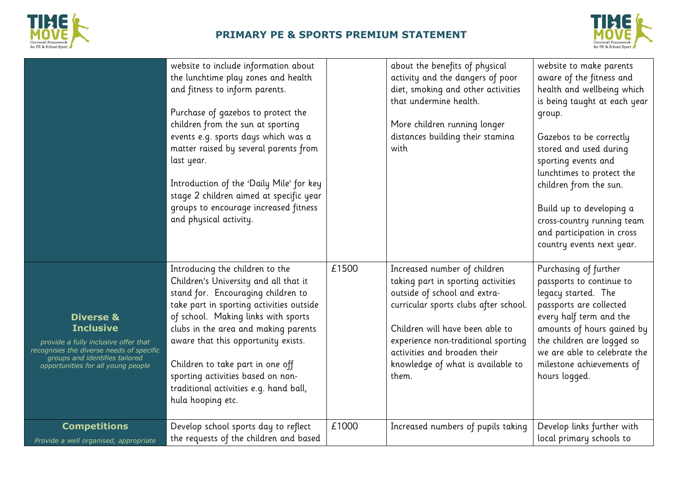



|                                                                      | website to include information about                                        |       | about the benefits of physical                                     | website to make parents                         |
|----------------------------------------------------------------------|-----------------------------------------------------------------------------|-------|--------------------------------------------------------------------|-------------------------------------------------|
|                                                                      | the lunchtime play zones and health                                         |       | activity and the dangers of poor                                   | aware of the fitness and                        |
|                                                                      | and fitness to inform parents.                                              |       | diet, smoking and other activities                                 | health and wellbeing which                      |
|                                                                      |                                                                             |       | that undermine health.                                             | is being taught at each year                    |
|                                                                      | Purchase of gazebos to protect the                                          |       |                                                                    | group.                                          |
|                                                                      | children from the sun at sporting                                           |       | More children running longer                                       |                                                 |
|                                                                      | events e.g. sports days which was a                                         |       | distances building their stamina                                   | Gazebos to be correctly                         |
|                                                                      | matter raised by several parents from                                       |       | with                                                               | stored and used during                          |
|                                                                      | last year.                                                                  |       |                                                                    | sporting events and                             |
|                                                                      |                                                                             |       |                                                                    | lunchtimes to protect the                       |
|                                                                      | Introduction of the 'Daily Mile' for key                                    |       |                                                                    | children from the sun.                          |
|                                                                      | stage 2 children aimed at specific year                                     |       |                                                                    |                                                 |
|                                                                      | groups to encourage increased fitness                                       |       |                                                                    | Build up to developing a                        |
|                                                                      | and physical activity.                                                      |       |                                                                    | cross-country running team                      |
|                                                                      |                                                                             |       |                                                                    | and participation in cross                      |
|                                                                      |                                                                             |       |                                                                    | country events next year.                       |
|                                                                      |                                                                             |       |                                                                    |                                                 |
|                                                                      | Introducing the children to the                                             | £1500 | Increased number of children                                       | Purchasing of further                           |
|                                                                      | Children's University and all that it<br>stand for. Encouraging children to |       | taking part in sporting activities<br>outside of school and extra- | passports to continue to<br>legacy started. The |
|                                                                      | take part in sporting activities outside                                    |       | curricular sports clubs after school.                              | passports are collected                         |
| <b>Diverse &amp;</b>                                                 | of school. Making links with sports                                         |       |                                                                    | every half term and the                         |
| <b>Inclusive</b>                                                     | clubs in the area and making parents                                        |       | Children will have been able to                                    | amounts of hours gained by                      |
| provide a fully inclusive offer that                                 | aware that this opportunity exists.                                         |       | experience non-traditional sporting                                | the children are logged so                      |
| recognises the diverse needs of specific                             |                                                                             |       | activities and broaden their                                       | we are able to celebrate the                    |
| groups and identifies tailored<br>opportunities for all young people | Children to take part in one off                                            |       | knowledge of what is available to                                  | milestone achievements of                       |
|                                                                      | sporting activities based on non-                                           |       | them.                                                              | hours logged.                                   |
|                                                                      | traditional activities e.g. hand ball,                                      |       |                                                                    |                                                 |
|                                                                      | hula hooping etc.                                                           |       |                                                                    |                                                 |
|                                                                      |                                                                             |       |                                                                    |                                                 |
| <b>Competitions</b>                                                  | Develop school sports day to reflect                                        | £1000 | Increased numbers of pupils taking                                 | Develop links further with                      |
| Provide a well organised, appropriate                                | the requests of the children and based                                      |       |                                                                    | local primary schools to                        |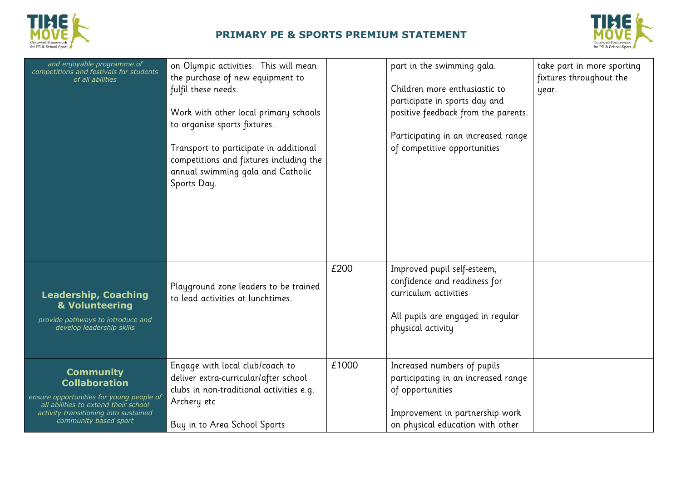



| and enjoyable programme of<br>competitions and festivals for students<br>of all abilities                                                                                                      | on Olympic activities. This will mean<br>the purchase of new equipment to<br>fulfil these needs.<br>Work with other local primary schools<br>to organise sports fixtures.<br>Transport to participate in additional<br>competitions and fixtures including the<br>annual swimming gala and Catholic<br>Sports Day. |       | part in the swimming gala.<br>Children more enthusiastic to<br>participate in sports day and<br>positive feedback from the parents.<br>Participating in an increased range<br>of competitive opportunities | take part in more sporting<br>fixtures throughout the<br>year. |
|------------------------------------------------------------------------------------------------------------------------------------------------------------------------------------------------|--------------------------------------------------------------------------------------------------------------------------------------------------------------------------------------------------------------------------------------------------------------------------------------------------------------------|-------|------------------------------------------------------------------------------------------------------------------------------------------------------------------------------------------------------------|----------------------------------------------------------------|
| <b>Leadership, Coaching</b><br>& Volunteering<br>provide pathways to introduce and<br>develop leadership skills                                                                                | Playground zone leaders to be trained<br>to lead activities at lunchtimes.                                                                                                                                                                                                                                         | £200  | Improved pupil self-esteem,<br>confidence and readiness for<br>curriculum activities<br>All pupils are engaged in regular<br>physical activity                                                             |                                                                |
| <b>Community</b><br><b>Collaboration</b><br>ensure opportunities for young people of<br>all abilities to extend their school<br>activity transitioning into sustained<br>community based sport | Engage with local club/coach to<br>deliver extra-curricular/after school<br>clubs in non-traditional activities e.g.<br>Archery etc<br>Buy in to Area School Sports                                                                                                                                                | £1000 | Increased numbers of pupils<br>participating in an increased range<br>of opportunities<br>Improvement in partnership work<br>on physical education with other                                              |                                                                |